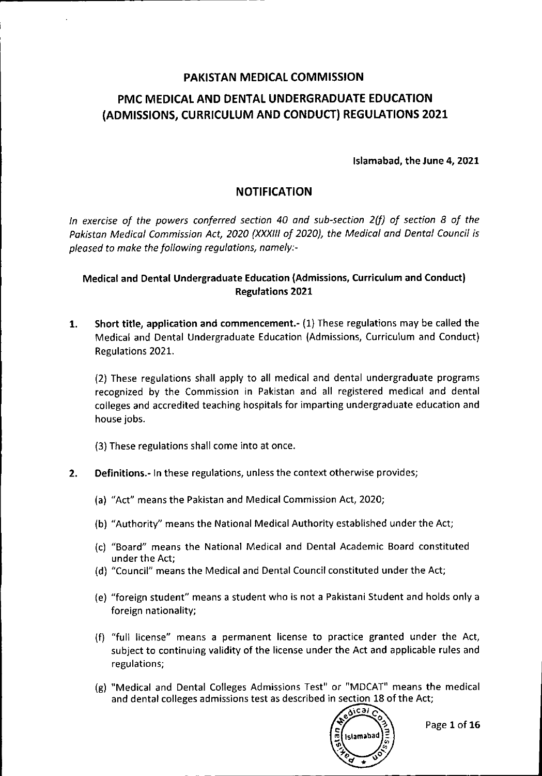# **PAKISTAN MEDICAL COMMISSION PMC MEDICAL AND DENTAL UNDERGRADUATE EDUCATION (ADMISSIONS, CURRICULUM AND CONDUCT) REGULATIONS 2021**

Islamabad, the June 4, 2021

# **NOTIFICATION**

*In exercise of the powers conferred section 40 and sub-section 2(f} of section* 8 *of the Pakistan Medical Commission Act, 2020 (XXXIIIof 2020), the Medical and Dental Council is pleased* to *make the following regulations, namely:-*

## Medical and Dental Undergraduate Education (Admissions, Curriculum and Conduct) Regulations 2021

1. Short title, application and commencement.- (1) These regulations may be called the Medical and Dental Undergraduate Education (Admissions, Curriculum and Conduct) Regulations 2021.

(2) These regulations shall apply to all medical and dental undergraduate programs recognized by the Commission in Pakistan and all registered medical and dental colleges and accredited teaching hospitals for imparting undergraduate education and house jobs.

(3) These regulations shall come into at once.

### 2. Definitions.- In these regulations, unless the context otherwise provides;

- (a) "Act" means the Pakistan and Medical Commission Act, 2020;
- (b) "Authority" means the National Medical Authority established under the Act;
- (c) "Board" means the National Medical and Dental Academic Board constituted under the Act;
- (d) "Council" means the Medical and Dental Council constituted under the Act;
- (e) "foreign student" means a student who is not a Pakistani Student and holds only a foreign nationality;
- (f) "full license" means a permanent license to practice granted under the Act, subject to continuing validity of the license under the Act and applicable rules and regulations;
- (g) "Medical and Dental Colleges Admissions Test" or "MDCAT" means the medical and dental colleges admissions test as described in section 18 of the Act;

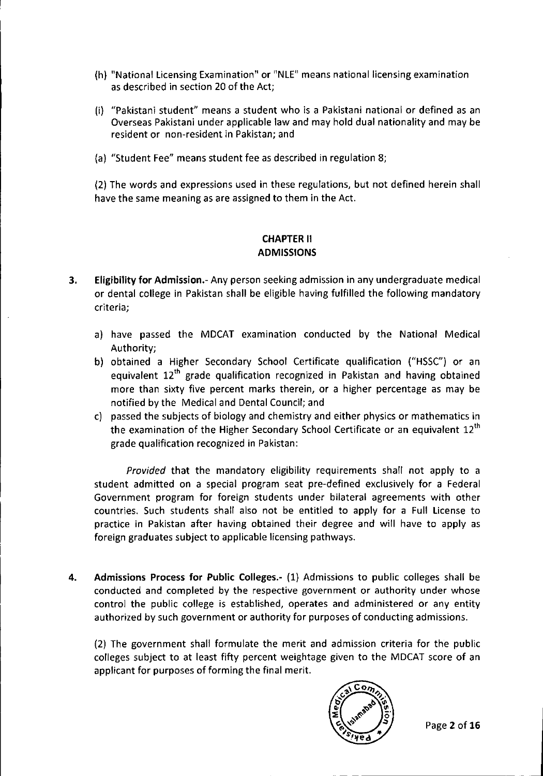- (h) "National licensing Examination" or "NLE" means national licensing examination as described in section 20 of the Act;
- (i) "Pakistani student" means a student who is a Pakistani national or defined as an Overseas Pakistani under applicable law and may hold dual nationality and may be resident or non-resident in Pakistan; and
- (a) "Student Fee" means student fee as described in regulation 8;

 $~\vdots$  . The contract of the contract of the contract of the contract of the contract of the contract of the contract of the contract of the contract of the contract of the contract of the contract of the contract of the

(2) The words and expressions used in these regulations, but not defined herein shall have the same meaning as are assigned to them in the Act.

## CHAPTERII ADMISSIONS

- 3. Eligibility for Admission.- Any person seeking admission in any undergraduate medical or dental college in Pakistan shall be eligible having fulfilled the following mandatory criteria;
	- a) have passed the MDCAT examination conducted by the National Medical Authority;
	- b) obtained a Higher Secondary School Certificate qualification ("HSSC") or an equivalent 12'h grade qualification recognized in Pakistan and having obtained more than sixty five percent marks therein, or a higher percentage as may be notified by the Medical and Dental Council; and
	- c) passed the subjects of biology and chemistry and either physics or mathematics in the examination of the Higher Secondary School Certificate or an equivalent 12<sup>th</sup> grade qualification recognized in Pakistan:

*Provided* that the mandatory eligibility requirements shall not apply to a student admitted on a special program seat pre-defined exclusively for a Federal Government program for foreign students under bilateral agreements with other countries. Such students shall also not be entitled to apply for a Full license to practice in Pakistan after having obtained their degree and will have to apply as foreign graduates subject to applicable licensing pathways.

4. Admissions Process for Public Colleges.- (1) Admissions to public colleges shall be conducted and completed by the respective government or authority under whose control the public college is established, operates and administered or any entity authorized by such government or authority for purposes of conducting admissions.

(2) The government shall formulate the merit and admission criteria for the public colleges subject to at least fifty percent weightage given to the MDCAT score of an applicant for purposes of forming the final merit.

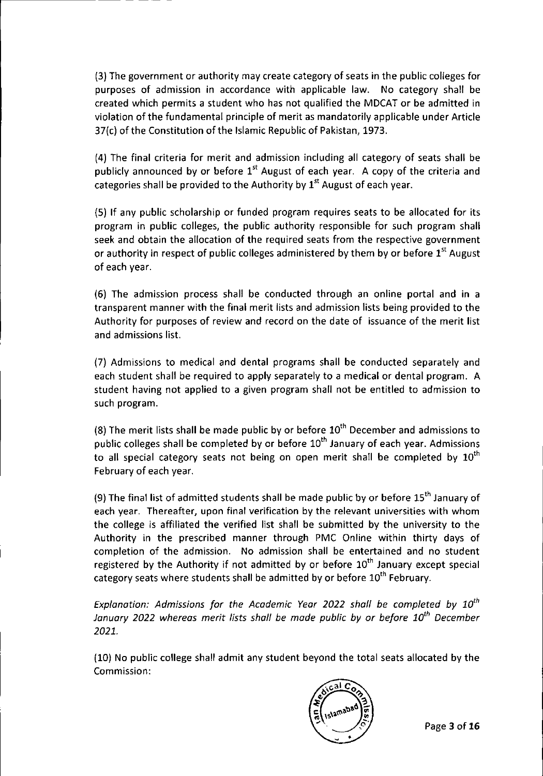(3) The government or authority may create category of seats in the public colleges for purposes of admission in accordance with applicable law. No category shall be created which permits a student who has not qualified the MDCAT or be admitted in violation ofthe fundamental principle of merit as mandatorily applicable under Article 37(c) of the Constitution of the Islamic Republic of Pakistan, 1973.

r---------------------- ----

(4) The final criteria for merit and admission including all category of seats shall be publicly announced by or before  $1<sup>st</sup>$  August of each year. A copy of the criteria and categories shall be provided to the Authority by  $1<sup>st</sup>$  August of each year.

(5) **If** any public scholarship or funded program requires seats to be allocated for its program in public colleges, the public authority responsible for such program shall seek and obtain the allocation of the required seats from the respective government or authority in respect of public colleges administered by them by or before  $1<sup>st</sup>$  August of each year.

(6) The admission process shall be conducted through an online portal and in a transparent manner with the final merit lists and admission lists being provided to the Authority for purposes of review and record on the date of issuance of the merit list and admissions list.

(7) Admissions to medical and dental programs shall be conducted separately and each student shall be required to apply separately to a medical or dental program. A student having not applied to a given program shall not be entitled to admission to such program.

(8) The merit lists shall be made public by or before  $10<sup>th</sup>$  December and admissions to public colleges shall be completed by or before 10<sup>th</sup> January of each year. Admissions to all special category seats not being on open merit shall be completed by  $10^{\text{th}}$ February of each year.

(9) The final list of admitted students shall be made public by or before  $15<sup>th</sup>$  January of each year. Thereafter, upon final verification by the relevant universities with whom the college is affiliated the verified list shall be submitted by the university to the Authority in the prescribed manner through PMC Online within thirty days of completion of the admission. No admission shall be entertained and no student registered by the Authority if not admitted by or before  $10^{th}$  January except special category seats where students shall be admitted by or before 10<sup>th</sup> February.

*Explanation: Admissions for the Academic Year 2022 shall be completed by 10th January 2022 whereas merit lists shall be made public by or before 10th December 2021.*

(10) No public college shall admit any student beyond the total seats allocated by the Commission:

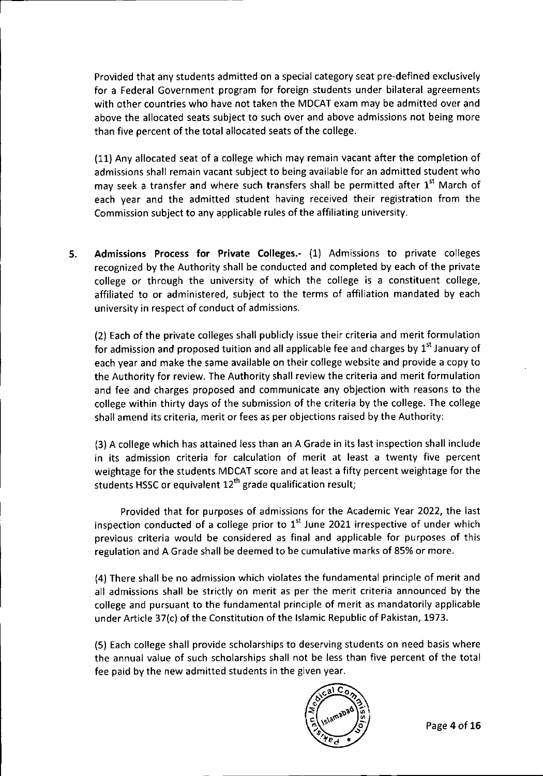Provided that any students admitted on a special category seat pre-defined exclusively for a Federal Government program for foreign students under bilateral agreements with other countries who have not taken the MDCAT exam may be admitted over and above the allocated seats subject to such over and above admissions not being more than five percent of the total allocated seats of the college.

(11) Any allocated seat of a college which may remain vacant after the completion of admissions shall remain vacant subject to being available for an admitted student who may seek a transfer and where such transfers shall be permitted after 1<sup>st</sup> March of each year and the admitted student having received their registration from the Commission subject to any applicable rules of the affiliating university.

5. Admissions Process for Private Colleges.- (1) Admissions to private colleges recognized by the Authority shall be conducted and completed by each of the private college or through the university of which the college is a constituent college, affiliated to or administered, subject to the terms of affiliation mandated by each university in respect of conduct of admissions.

(2) Each of the private colleges shall publicly issue their criteria and merit formulation for admission and proposed tuition and all applicable fee and charges by  $1^\text{st}$  January of each year and make the same available on their college website and provide a copy to the Authority for review. The Authority shall review the criteria and merit formulation and fee and charges proposed and communicate any objection with reasons to the college within thirty days of the submission of the criteria by the college. The college shall amend its criteria, merit or fees as per objections raised by the Authority:

(3) A college which has attained less than an A Grade in its last inspection shall include in its admission criteria for calculation of merit at least a twenty five percent weightage for the students MDCAT score and at least a fifty percent weightage for the students HSSC or equivalent  $12<sup>th</sup>$  grade qualification result;

Provided that for purposes of admissions for the Academic Year 2022, the last inspection conducted of a college prior to  $1^{\rm st}$  June 2021 irrespective of under which previous criteria would be considered as final and applicable for purposes of this regulation and A Grade shall be deemed to be cumulative marks of 85% or more.

(4) There shall be no admission which violates the fundamental principle of merit and all admissions shall be strictly on merit as per the merit criteria announced by the college and pursuant to the fundamental principle of merit as mandatorily applicable under Article 37(c) of the Constitution of the Islamic Republic of Pakistan, 1973.

(5) Each college shall provide scholarships to deserving students on need basis where the annual value of such scholarships shall not be less than five percent of the total fee paid by the new admitted students in the given year.

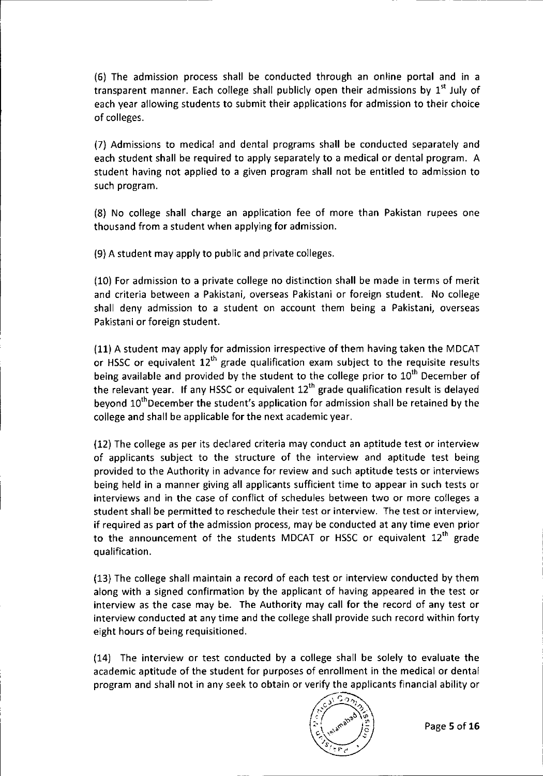(6) The admission process shall be conducted through an online portal and in a transparent manner. Each college shall publicly open their admissions by 1<sup>st</sup> July of each year allowing students to submit their applications for admission to their choice of colleges.

(7) Admissions to medical and dental programs shall be conducted separately and each student shall be required to apply separately to a medical or dental program. A student having not applied to a given program shall not be entitled to admission to such program.

(8) No college shall charge an application fee of more than Pakistan rupees one thousand from a student when applying for admission.

(9) A student may apply to public and private colleges.

(10) For admission to a private college no distinction shall be made in terms of merit and criteria between a Pakistani, overseas Pakistani or foreign student. No college shall deny admission to a student on account them being a Pakistani, overseas Pakistani or foreign student.

(11) A student may apply for admission irrespective of them having taken the MDCAT or HSSC or equivalent  $12^{th}$  grade qualification exam subject to the requisite results being available and provided by the student to the college prior to  $10<sup>th</sup>$  December of the relevant year. If any HSSC or equivalent  $12<sup>th</sup>$  grade qualification result is delayed beyond 10<sup>th</sup>December the student's application for admission shall be retained by the college and shall be applicable for the next academic year.

(12) The college as per its declared criteria may conduct an aptitude test or interview of applicants subject to the structure of the interview and aptitude test being provided to the Authority in advance for review and such aptitude tests or interviews being held in a manner giving all applicants sufficient time to appear in such tests or interviews and in the case of conflict of schedules between two or more colleges a student shall be permitted to reschedule their test or interview. The test or interview, if required as part of the admission process, may be conducted at any time even prior to the announcement of the students MDCAT or HSSC or equivalent 12<sup>th</sup> grade qualification.

(13) The college shall maintain a record of each test or interview conducted by them along with a signed confirmation by the applicant of having appeared in the test or interview as the case may be. The Authority may call for the record of any test or interview conducted at any time and the college shall provide such record within forty eight hours of being requisitioned.

(14) The interview or test conducted by a college shall be solely to evaluate the academic aptitude of the student for purposes of enrollment in the medical or dental program and shall not in any seek to obtain or verify the applicants financial ability or

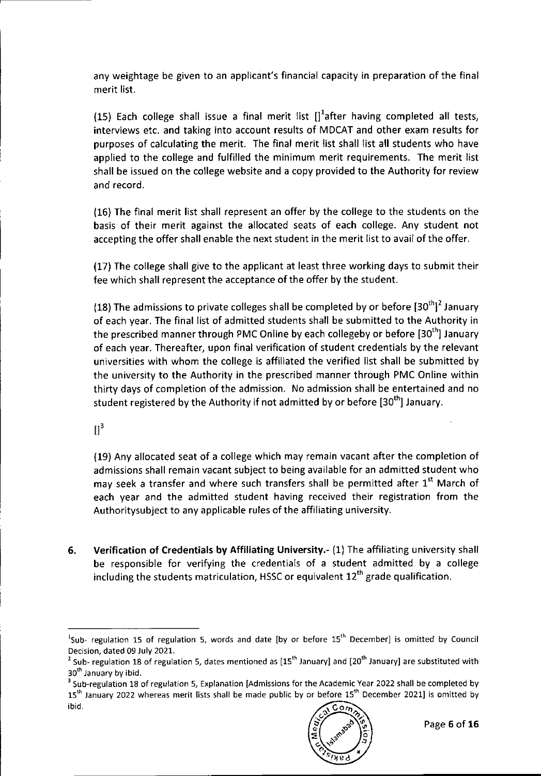any weightage be given to an applicant's financial capacity in preparation of the final merit list.

(15) Each college shall issue a final merit list  $[]<sup>1</sup>$ after having completed all tests, interviews etc. and taking into account results of MDCAT and other exam results for purposes of calculating the merit. The final merit list shall list all students who have applied to the college and fulfilled the minimum merit requirements. The merit list shall be issued on the college website and a copy provided to the Authority for review and record.

(16) The final merit list shall represent an offer by the college to the students on the basis of their merit against the allocated seats of each college. Any student not accepting the offer shall enable the next student in the merit list to avail of the offer.

(17) The college shall give to the applicant at least three working days to submit their fee which shall represent the acceptance of the offer by the student.

(18) The admissions to private colleges shall be completed by or before  $[30^{th}]^2$  January of each year. The final list of admitted students shall be submitted to the Authority in the prescribed manner through PMC Online by each collegeby or before [30<sup>th</sup>] January of each year. Thereafter, upon final verification of student credentials by the relevant universities with whom the college is affiliated the verified list shall be submitted by the university to the Authority in the prescribed manner through PMC Online within thirty days of completion of the admission. No admission shall be entertained and no student registered by the Authority if not admitted by or before [30<sup>th</sup>] January

 $\Pi^3$ 

(19) Any allocated seat of a college which may remain vacant after the completion of admissions shall remain vacant subject to being available for an admitted student who may seek a transfer and where such transfers shall be permitted after 1<sup>st</sup> March of each year and the admitted student having received their registration from the Authoritysubject to any applicable rules of the affiliating university.

6. Verification of Credentials by Affiliating University.- (1) The affiliating university shall be responsible for verifying the credentiais of a student admitted by a college including the students matriculation, HSSC or equivalent  $12<sup>th</sup>$  grade qualification.

<sup>&</sup>lt;sup>3</sup> Sub-regulation 18 of regulation 5, Explanation [Admissions for the Academic Year 2022 shall be completed by 15<sup>th</sup> January 2022 whereas merit lists shall be made public by or before 15<sup>th</sup> December 2021] is omitted by ibid.  $\sim$ 



 $^{1}$ Sub- regulation 15 of regulation 5, words and date [by or before 15<sup>th</sup> December] is omitted by Council Decision, dated 09 July 202l.

<sup>&</sup>lt;sup>2</sup> Sub- regulation 18 of regulation 5, dates mentioned as [15<sup>th</sup> January] and [20<sup>th</sup> January] are substituted with 30<sup>th</sup> January by ibid.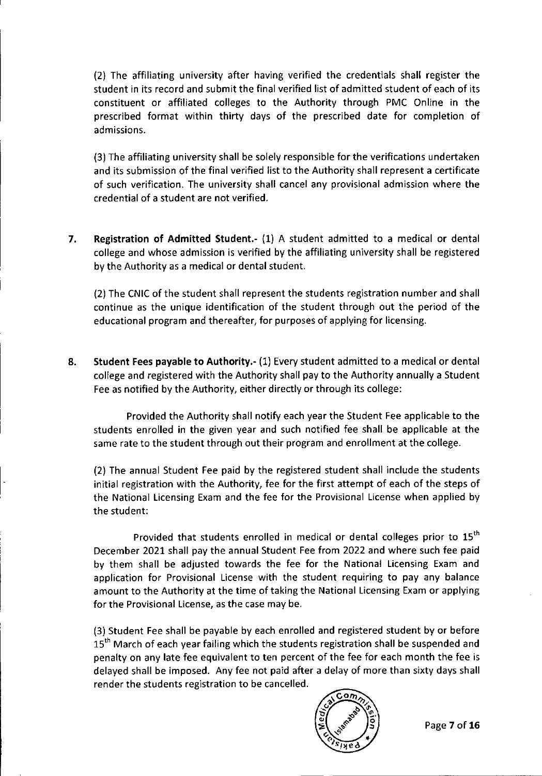(2) The affiliating university after having verified the credentials shall register the student in its record and submit the final verified list of admitted student of each of its constituent or affiliated colleges to the Authority through PMC Online in the prescribed format within thirty days of the prescribed date for completion of admissions.

(3) The affiliating university shall be solely responsible for the verifications undertaken and its submission of the final verified list to the Authority shall represent a certificate of such verification. The university shall cancel any provisional admission where the credential of a student are not verified.

7. Registration of Admitted Student.- (1) A student admitted to a medical or dental college and whose admission is verified by the affiliating university shall be registered by the Authority as a medical or dental student.

(2) The CNIC of the student shall represent the students registration number and shall continue as the unique identification of the student through out the period of the educational program and thereafter, for purposes of applying for licensing.

8. Student Fees payable to Authority.- (1) Every student admitted to a medical or dental college and registered with the Authority shall pay to the Authority annually a Student Fee as notified by the Authority, either directly or through its college:

Provided the Authority shall notify each year the Student Fee applicable to the students enrolled in the given year and such notified fee shall be applicable at the same rate to the student through out their program and enrollment at the college.

(2) The annual Student Fee paid by the registered student shall include the students initial registration with the Authority, fee for the first attempt of each of the steps of the National licensing Exam and the fee for the Provisional license when applied by the student:

I.

Provided that students enrolled in medical or dental colleges prior to 15<sup>th</sup> December 2021 shall pay the annual Student Fee from 2022 and where such fee paid by them shall be adjusted towards the fee for the National licensing Exam and application for Provisional license with the student requiring to pay any balance amount to the Authority at the time of taking the National licensing Exam or applying for the Provisional license, as the case may be.

(3) Student Fee shall be payable by each enrolled and registered student by or before 15<sup>th</sup> March of each year failing which the students registration shall be suspended and penalty on any late fee equivalent to ten percent of the fee for each month the fee is delayed shall be imposed. Any fee not paid after a delay of more than sixty days shall render the students registration to be cancelled.

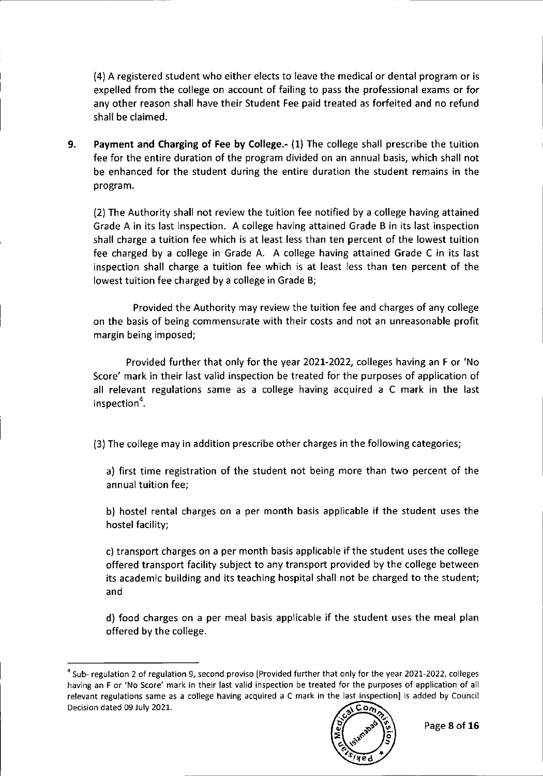(4) A registered student who either elects to leave the medical or dental program or is expelled from the college on account of failing to pass the professional exams or for any other reason shall have their Student Fee paid treated as forfeited and no refund shall be claimed.

9. Payment and Charging of Fee **by** College.- (1) The college shall prescribe the tuition fee for the entire duration of the program divided on an annual basis, which shall not be enhanced for the student during the entire duration the student remains in the program.

(2) The Authority shall not review the tuition fee notified by a college having attained Grade A in its last inspection. A college having attained Grade B in its last inspection shall charge a tuition fee which is at least less than ten percent of the lowest tuition fee charged by a college in Grade A. A college having attained Grade C in its last inspection shall charge a tuition fee which is at least less than ten percent of the lowest tuition fee charged by a college in Grade B;

Provided the Authority may review the tuition fee and charges of any college on the basis of being commensurate with their costs and not an unreasonable profit margin being imposed;

Provided further that only for the year 2021-2022, colleges having an F or 'No Score' mark in their last valid inspection be treated for the purposes of application of all relevant regulations same as a college having acquired a C mark in the last inspection".

(3) The college may in addition prescribe other charges in the following categories;

a) first time registration of the student not being more than two percent of the annual tuition fee;

b) hostel rental charges on a per month basis applicable if the student uses the hostel facility;

c) transport charges on a per month basis applicable if the student uses the college offered transport facility subject to any transport provided by the college between its academic building and its teaching hospital shall not be charged to the student; and

d) food charges on a per meal basis applicable if the student uses the meal plan offered by the college.

<sup>&</sup>lt;sup>4</sup> Sub- regulation 2 of regulation 9, second proviso [Provided further that only for the year 2021-2022, colleges having an F or 'No Score' mark in their last valid inspection be treated for the purposes of application of all relevant regulations same as a college having acquired a C mark in the last inspection] is added by Council Decision dated 09 July 2021.  $\overline{\text{Cov}}$ 

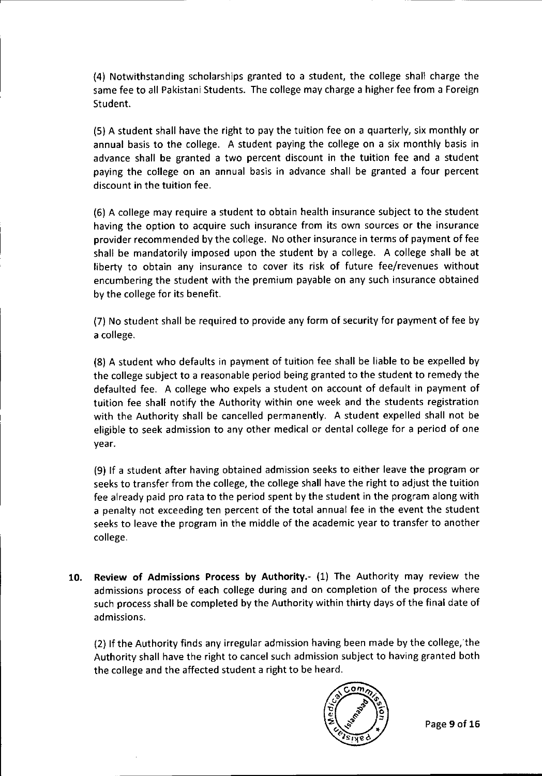(4) Notwithstanding scholarships granted to a student, the college shall charge the same fee to all Pakistani Students. The college may charge a higher fee from a Foreign Student.

(5) A student shall have the right to pay the tuition fee on a quarterly, six monthly or annual basis to the college. A student paying the college on a six monthly basis in advance shall be granted a two percent discount in the tuition fee and a student paying the college on an annual basis in advance shall be granted a four percent discount in the tuition fee.

(6) A college may require a student to obtain health insurance subject to the student having the option to acquire such insurance from its own sources or the insurance provider recommended by the college. No other insurance in terms of payment of fee shall be mandatorily imposed upon the student by a college. A college shall be at liberty to obtain any insurance to cover its risk of future fee/revenues without encumbering the student with the premium payable on any such insurance obtained by the college for its benefit.

(7) No student shall be required to provide any form of security for payment of fee by a college.

(8) A student who defaults in payment of tuition fee shall be liable to be expelled by the college subject to a reasonable period being granted to the student to remedy the defaulted fee. A college who expels a student on account of default in payment of tuition fee shall notify the Authority within one week and the students registration with the Authority shall be cancelled permanently. A student expelled shall not be eligible to seek admission to any other medical or dental college for a period of one year.

(9) If a student after having obtained admission seeks to either leave the program or seeks to transfer from the college, the college shall have the right to adjust the tuition fee already paid pro rata to the period spent by the student in the program along with a penalty not exceeding ten percent of the total annual fee in the event the student seeks to leave the program in the middle of the academic year to transfer to another college.

10. Review of Admissions Process by Authority.- (1) The Authority may review the admissions process of each college during and on completion of the process where such process shall be completed by the Authority within thirty days of the final date of admissions.

 $(2)$  If the Authority finds any irregular admission having been made by the college, the Authority shall have the right to cancel such admission subject to having granted both the college and the affected student a right to be heard.

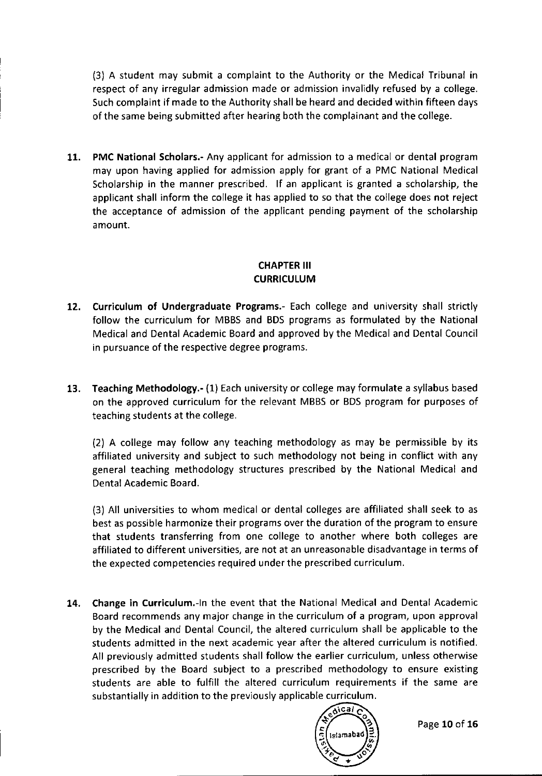(3) A student may submit a complaint to the Authority or the Medical Tribunal in respect of any irregular admission made or admission invalidly refused by a college. Such complaint if made to the Authority shall be heard and decided within fifteen days of the same being submitted after hearing both the complainant and the college.

11. PMC National Scholars.- Any applicant for admission to a medical or dental program may upon having applied for admission apply for grant of a PMC National Medical Scholarship in the manner prescribed. If an applicant is granted a scholarship, the applicant shall inform the college it has applied to so that the college does not reject the acceptance of admission of the applicant pending payment of the scholarship amount.

# CHAPTER**III CURRICULUM**

- 12. Curriculum of Undergraduate Programs.- Each college and university shall strictly follow the curriculum for MBBS and BDS programs as formulated by the National Medical and Dental Academic Board and approved by the Medical and Dental Council in pursuance of the respective degree programs.
- 13. Teaching Methodology.- (1) Each university or college may formulate a syliabus based on the approved curriculum for the relevant MBBS or BDS program for purposes of teaching students at the college.

(2) A college may follow any teaching methodology as may be permissible by its affiliated university and subject to such methodology not being in conflict with any general teaching methodology structures prescribed by the National Medical and Dental Academic Board.

(3) All universities to whom medical or dental colleges are affiliated shall seek to as best as possible harmonize their programs over the duration of the program to ensure that students transferring from one college to another where both colleges are affiliated to different universities, are not at an unreasonable disadvantage in terms of the expected competencies required under the prescribed curriculum.

14. Change in Curriculum.-ln the event that the National Medical and Dental Academic Board recommends any major change in the curriculum of a program, upon approval by the Medical and Dental Council, the altered curriculum shall be applicable to the students admitted in the next academic year after the altered curriculum is notified. All previously admitted students shall follow the earlier curriculum, unless otherwise prescribed by the Board subject to a prescribed methodology to ensure existing students are able to fulfill the altered curriculum requirements if the same are substantially in addition to the previously applicable curriculum.

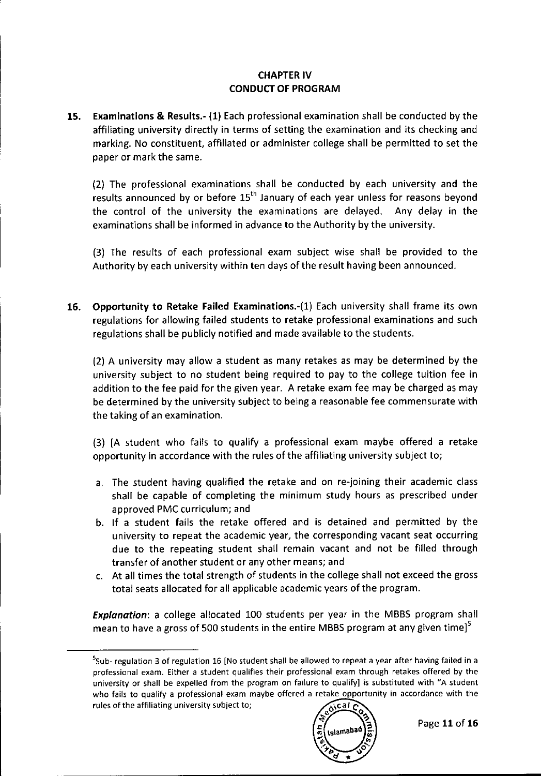### **CHAPTER IV** CONDUCT OF PROGRAM

15. Examinations & Results.- (1) Each professional examination shall be conducted by the affiliating university directly in terms of setting the examination and its checking and marking. No constituent, affiliated or administer college shall be permitted to set the paper or mark the same.

(2) The professional examinations shall be conducted by each university and the results announced by or before  $15<sup>th</sup>$  January of each year unless for reasons beyond the control of the university the examinations are delayed. Any delay in the examinations shall be informed in advance to the Authority by the university.

(3) The results of each professional exam subject wise shall be provided to the Authority by each university within ten days of the result having been announced.

16. Opportunity to Retake Failed Examinations.-(1) Each university shall frame its own regulations for allowing failed students to retake professional examinations and such regulations shall be publicly notified and made available to the students.

(2) A university may allow a student as many retakes as may be determined by the university subject to no student being required to pay to the college tuition fee in addition to the fee paid for the given year. A retake exam fee may be charged as may be determined by the university subject to being a reasonable fee commensurate with the taking of an examination.

(3) [A student who fails to qualify a professional exam maybe offered a retake opportunity in accordance with the rules of the affiliating university subject to;

- a. The student having qualified the retake and on re-joining their academic class shall be capable of completing the minimum study hours as prescribed under approved PMC curriculum; and
- b. If a student fails the retake offered and is detained and permitted by the university to repeat the academic year, the corresponding vacant seat occurring due to the repeating student shall remain vacant and not be filled through transfer of another student or any other means; and
- c. At all times the total strength of students in the college shall not exceed the gross total seats allocated for all applicable academic years of the program.

*Explanation:* a college allocated 100 students per year in the MBBS program shall mean to have a gross of 500 students in the entire MBBS program at any given time] $^3$ 

<sup>&#</sup>x27;Sub- regulation 3 of regulation 16 [No student shall be allowed to repeat a year after having failed in a professionai exam. Either a student qualifies their professional exam through retakes offered by the university or shall be expelled from the program on failure to qualify] is substituted with "A student who fails to qualify a professional exam maybe offered a retake opportunity in accordance with the rules of the affiliating university subject to; **600** *C*<sub>A</sub>  $\alpha$ 

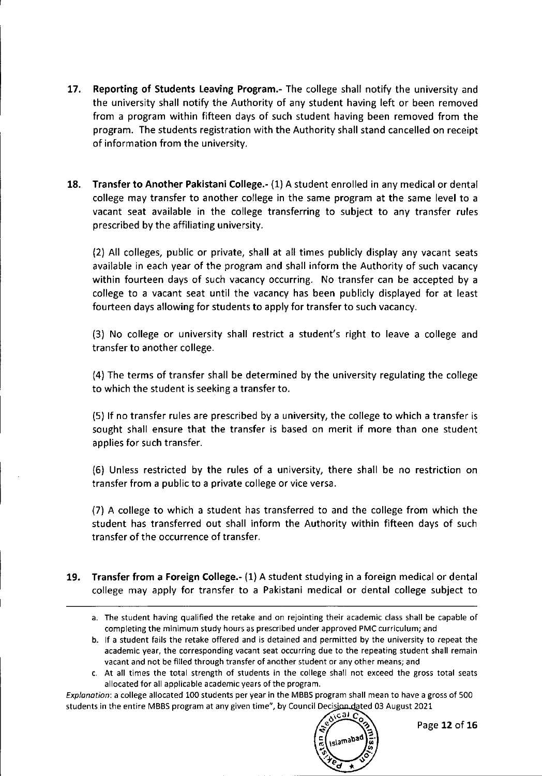- 17. Reporting of Students Leaving Program.- The college shall notify the university and the university shall notify the Authority of any student having left or been removed from a program within fifteen days of such student having been removed from the program. The students registration with the Authority shall stand cancelled on receipt of information from the university.
- 18. Transfer to Another Pakistani College.- (1) A student enrolled in any medical or dental college may transfer to another college in the same program at the same level to a vacant seat available in the college transferring to subject to any transfer rules prescribed by the affiliating university.

(2) All colleges, public or private, shall at all times publicly display any vacant seats available in each year of the program and shall inform the Authority of such vacancy within fourteen days of such vacancy occurring. No transfer can be accepted by a college to a vacant seat until the vacancy has been publicly displayed for at least fourteen days allowing for students to apply for transfer to such vacancy.

(3) No college or university shall restrict a student's right to leave a college and transfer to another college.

(4) The terms of transfer shall be determined by the university regulating the college to which the student is seeking a transfer to.

(5) If no transfer rules are prescribed by a university, the college to which a transfer is sought shall ensure that the transfer is based on merit if more than one student applies for such transfer.

(6) Unless restricted by the rules of a university, there shall be no restriction on transfer from a public to a private college or vice versa.

(7) A college to which a student has transferred to and the college from which the student has transferred out shall inform the Authority within fifteen days of such transfer of the occurrence of transfer.

- 19. Transfer from a Foreign College.- (1) A student studying in a foreign medical or dental college may apply for transfer to a Pakistani medical or dental college subject to
	- a. The student having qualified the retake and on rejointing their academic class shall be capable of completing the minimum study hours as prescribed under approved PMC curriculum; and
	- b. If a student fails the retake offered and is detained and permitted by the university to repeat the **academic year, the corresponding vacant seat occurring due to the repeating student shall remain** vacant and not be filled through transfer of another student or any other means; and
	- c. At all times the total strength of students in the college shall not exceed the gross total seats allocated for all applicable academic years of the program.

*Explanation:* a college allocated 100 students per year in the MBBS program shall mean to have a gross of 500 students in the entire MBBS program at any given time", by Council Decision dated 03 August 2021

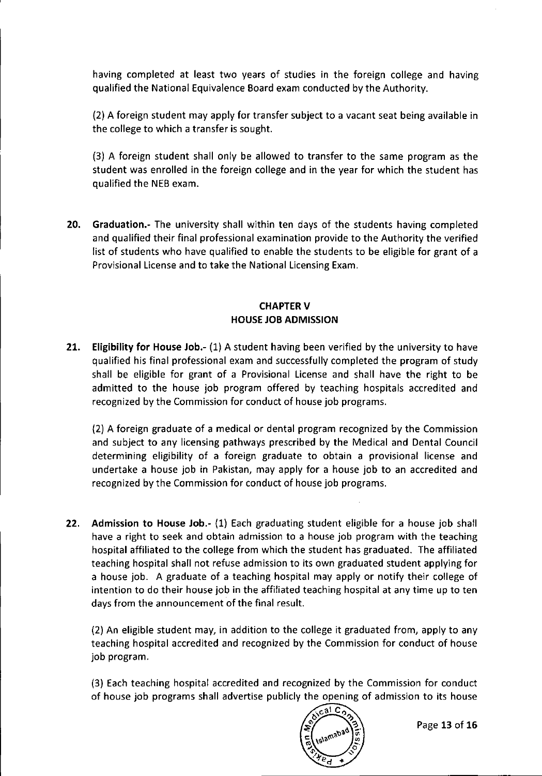having completed at least two years of studies in the foreign college and having qualified the National Equivalence Board exam conducted by the Authority.

(2) A foreign student may apply for transfer subject to a vacant seat being available in the college to which a transfer is sought.

(3) A foreign student shall only be allowed to transfer to the same program as the student was enrolled in the foreign college and in the year for which the student has qualified the NEB exam.

20. Graduation.- The university shall within ten days of the students having completed and qualified their final professional examination provide to the Authority the verified list of students who have qualified to enable the students to be eligible for grant of a Provisional License and to take the National Licensing Exam.

#### **CHAPTER V** HOUSEJOB ADMISSION

21. Eligibility for House Job.- (1) A student having been verified by the university to have qualified his final professional exam and successfully completed the program of study shall be eligible for grant of a Provisional License and shall have the right to be admitted to the house job program offered by teaching hospitals accredited and recognized by the Commission for conduct of house job programs.

(2) A foreign graduate of a medical or dental program recognized by the Commission and subject to any licensing pathways prescribed by the Medical and Dental Council determining eligibility of a foreign graduate to obtain a provisional license and undertake a house job in Pakistan, may apply for a house job to an accredited and recognized by the Commission for conduct of house job programs.

22. Admission to House Job.- (1) Each graduating student eligible for a house job shall have a right to seek and obtain admission to a house job program with the teaching hospital affiliated to the college from which the student has graduated. The affiliated teaching hospital shall not refuse admission to its own graduated student applying for a house job. A graduate of a teaching hospital may apply or notify their college of intention to do their house job in the affiliated teaching hospital at any time up to ten days from the announcement of the final result.

(2) An eligible student may, in addition to the college it graduated from, apply to any teaching hospital accredited and recognized by the Commission for conduct of house job program.

(3) Each teaching hospital accredited and recognized by the Commission for conduct of house job programs shall advertise publicly the opening of admission to its house

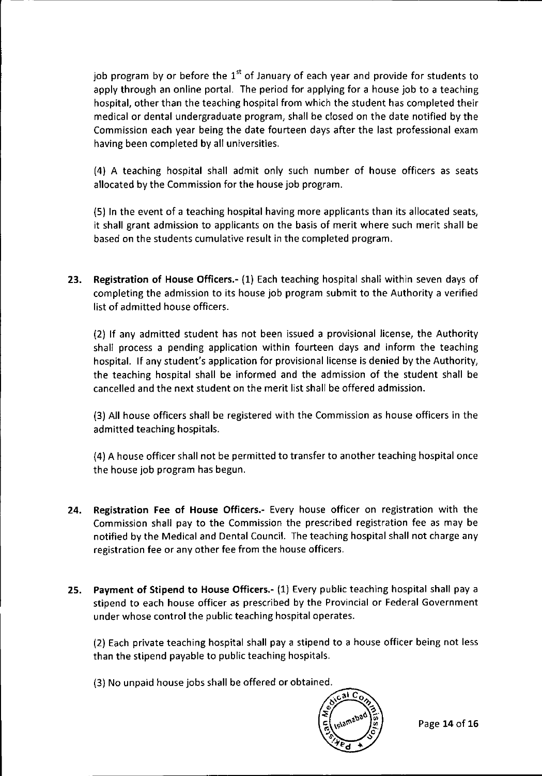job program by or before the  $1^{\text{st}}$  of January of each year and provide for students to apply through an online portal. The period for applying for a house job to a teaching hospital, other than the teaching hospital from which the student has completed their medical or dental undergraduate program, shall be closed on the date notified by the Commission each year being the date fourteen days after the last professional exam having been completed by all universities.

(4) A teaching hospital shall admit only such number of house officers as seats allocated by the Commission for the house job program.

(5) In the *event* of a teaching hospital having more applicants than its allocated seats, it shall grant admission to applicants on the basis of merit where such merit shall be based on the students cumulative result in the completed program.

23. Registration of House Officers.- (1) Each teaching hospital shall within *seven* days of completing the admission to its house job program submit to the Authority a verified list of admitted house officers.

(2) If any admitted student has not been issued a provisional license, the Authority shall process a pending application within fourteen days and inform the teaching hospital. If any student's application for provisional license is denied by the Authority, the teaching hospital shall be informed and the admission of the student shall be cancelled and the next student on the merit list shall be offered admission.

(3) All house officers shall be registered with the Commission as house officers in the admitted teaching hospitals.

(4) A house officer shall not be permitted to transfer to another teaching hospital once the house job program has begun.

- 24. Registration Fee of House Officers.- Every house officer on registration with the Commission shall pay to the Commission the prescribed registration fee as may be notified by the Medical and Dental Council. The teaching hospital shall not charge any registration fee or any other fee from the house officers.
- 25. Payment of Stipend to House Officers.- (1) Every public teaching hospital shall pay a stipend to each house officer as prescribed by the Provincial or Federal Government under whose control the public teaching hospital operates.

(2) Each private teaching hospital shall pay a stipend to a house officer being not less than the stipend payable to public teaching hospitals.

(3) No unpaid house jobs shall be offered or obtained.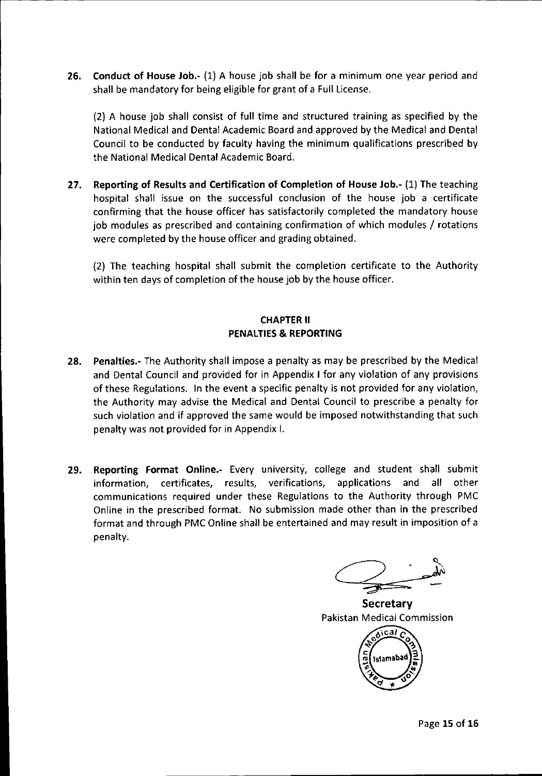26. Conduct of House Job.- (1) A house job shall be for a minimum one year period and shall be mandatory for being eligible for grant of a Full License.

(2) A house job shall consist of full time and structured training as specified by the National Medical and Dental Academic Board and approved by the Medical and Dental Council to be conducted by faculty having the minimum qualifications prescribed by the National Medical Dental Academic Board.

27. Reporting of Results and Certification of Completion of House Job.- (1) The teaching hospital shall issue on the successful conclusion of the house job a certificate confirming that the house officer has satisfactorily completed the mandatory house job modules as prescribed and containing confirmation of which modules / rotations were completed by the house officer and grading obtained.

(2) The teaching hospital shall submit the completion certificate to the Authority within ten days of completion of the house job by the house officer.

#### CHAPTERII PENALTIES& REPORTING

- 28. Penalties.- The Authority shall impose a penalty as may be prescribed by the Medical and Dental Council and provided for in Appendix I for any violation of any provisions of these Regulations. In the event a specific penalty is not provided for any violation, the Authority may advise the Medical and Dental Council to prescribe a penalty for such violation and if approved the same would be imposed notwithstanding that such penalty was not provided for in Appendix I.
- 29. Reporting Format Online.- Every university, college and student shall submit information, certificates, results, verifications, applications and all other communications required under these Regulations to the Authority through PMC Online in the prescribed format. No submission made other than in the prescribed format and through PMC Online shall be entertained and may result in imposition of a penalty.

**Secretary** Pakistan Medicai Commission Aical Islamab